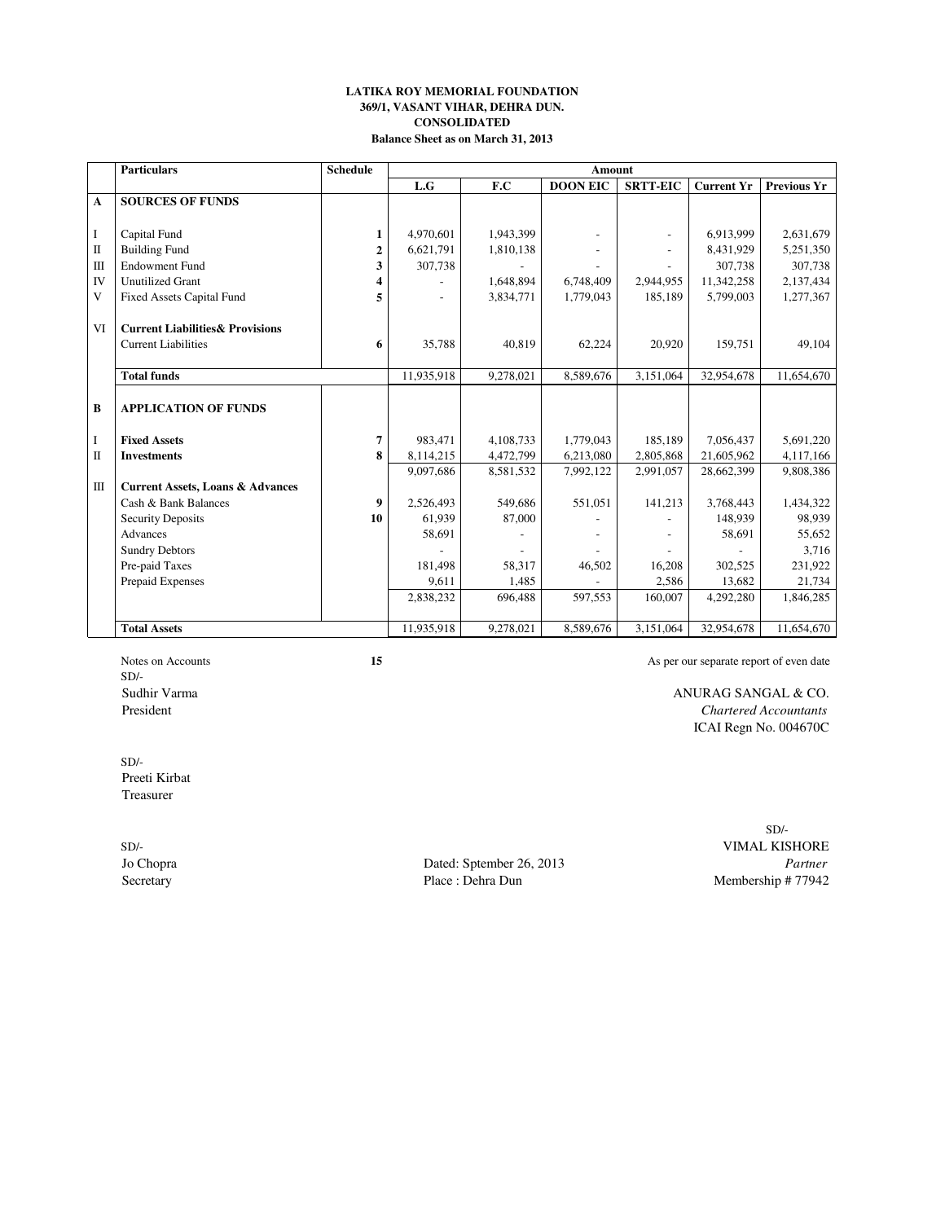### **LATIKA ROY MEMORIAL FOUNDATION 369/1, VASANT VIHAR, DEHRA DUN. CONSOLIDATED Balance Sheet as on March 31, 2013**

|              | <b>Particulars</b>                          | <b>Schedule</b>  | <b>Amount</b>  |           |                 |                 |                   |                    |  |  |  |  |
|--------------|---------------------------------------------|------------------|----------------|-----------|-----------------|-----------------|-------------------|--------------------|--|--|--|--|
|              |                                             |                  | L.G            | F.C       | <b>DOON EIC</b> | <b>SRTT-EIC</b> | <b>Current Yr</b> | <b>Previous Yr</b> |  |  |  |  |
| $\mathbf{A}$ | <b>SOURCES OF FUNDS</b>                     |                  |                |           |                 |                 |                   |                    |  |  |  |  |
|              |                                             |                  |                |           |                 |                 |                   |                    |  |  |  |  |
| $\mathbf I$  | Capital Fund                                | 1                | 4,970,601      | 1,943,399 |                 |                 | 6.913.999         | 2,631,679          |  |  |  |  |
| $\mathbf{I}$ | <b>Building Fund</b>                        | $\overline{2}$   | 6,621,791      | 1,810,138 |                 |                 | 8,431,929         | 5,251,350          |  |  |  |  |
| $\mathbf{H}$ | <b>Endowment Fund</b>                       | 3                | 307,738        |           |                 |                 | 307,738           | 307,738            |  |  |  |  |
| <b>IV</b>    | <b>Unutilized Grant</b>                     | 4                |                | 1,648,894 | 6,748,409       | 2,944,955       | 11,342,258        | 2,137,434          |  |  |  |  |
| V            | <b>Fixed Assets Capital Fund</b>            | 5                | $\overline{a}$ | 3,834,771 | 1,779,043       | 185,189         | 5,799,003         | 1,277,367          |  |  |  |  |
|              |                                             |                  |                |           |                 |                 |                   |                    |  |  |  |  |
| VI           | <b>Current Liabilities &amp; Provisions</b> |                  |                |           |                 |                 |                   |                    |  |  |  |  |
|              | <b>Current Liabilities</b>                  | 6                | 35,788         | 40,819    | 62,224          | 20.920          | 159.751           | 49,104             |  |  |  |  |
|              |                                             |                  |                |           |                 |                 |                   |                    |  |  |  |  |
|              | <b>Total funds</b>                          |                  | 11,935,918     | 9,278,021 | 8,589,676       | 3,151,064       | 32,954,678        | 11,654,670         |  |  |  |  |
|              |                                             |                  |                |           |                 |                 |                   |                    |  |  |  |  |
| B            | <b>APPLICATION OF FUNDS</b>                 |                  |                |           |                 |                 |                   |                    |  |  |  |  |
|              |                                             |                  |                |           |                 |                 |                   |                    |  |  |  |  |
| 1            | <b>Fixed Assets</b>                         | 7                | 983,471        | 4,108,733 | 1,779,043       | 185.189         | 7,056,437         | 5,691,220          |  |  |  |  |
| $\Pi$        | <b>Investments</b>                          | $\bf{8}$         | 8,114,215      | 4,472,799 | 6,213,080       | 2,805,868       | 21,605,962        | 4,117,166          |  |  |  |  |
|              |                                             |                  | 9,097,686      | 8,581,532 | 7,992,122       | 2,991,057       | 28,662,399        | 9,808,386          |  |  |  |  |
| $\mathbf{m}$ | <b>Current Assets, Loans &amp; Advances</b> |                  |                |           |                 |                 |                   |                    |  |  |  |  |
|              | Cash & Bank Balances                        | $\boldsymbol{9}$ | 2.526.493      | 549.686   | 551.051         | 141,213         | 3.768.443         | 1,434,322          |  |  |  |  |
|              | <b>Security Deposits</b>                    | 10               | 61,939         | 87,000    |                 |                 | 148,939           | 98,939             |  |  |  |  |
|              | <b>Advances</b>                             |                  | 58,691         |           |                 |                 | 58,691            | 55,652             |  |  |  |  |
|              | <b>Sundry Debtors</b>                       |                  |                |           |                 |                 |                   | 3,716              |  |  |  |  |
|              | Pre-paid Taxes                              |                  | 181,498        | 58,317    | 46,502          | 16,208          | 302,525           | 231,922            |  |  |  |  |
|              | Prepaid Expenses                            |                  | 9,611          | 1,485     |                 | 2,586           | 13,682            | 21,734             |  |  |  |  |
|              |                                             |                  | 2,838,232      | 696,488   | 597,553         | 160,007         | 4,292,280         | 1,846,285          |  |  |  |  |
|              |                                             |                  |                |           |                 |                 |                   |                    |  |  |  |  |
|              | <b>Total Assets</b>                         |                  | 11,935,918     | 9,278,021 | 8,589,676       | 3,151,064       | 32,954,678        | 11,654,670         |  |  |  |  |

SD/-

Notes on Accounts<br>
15 As per our separate report of even date

Sudhir Varma ANURAG SANGAL & CO. President *Chartered Accountants* ICAI Regn No. 004670C

SD/- Preeti Kirbat Treasurer

Jo Chopra Dated: Sptember 26, 2013 *Partner* Secretary Place : Dehra Dun Membership # 77942

 $\mathrm{SD}/\text{-}$ SD/- VIMAL KISHORE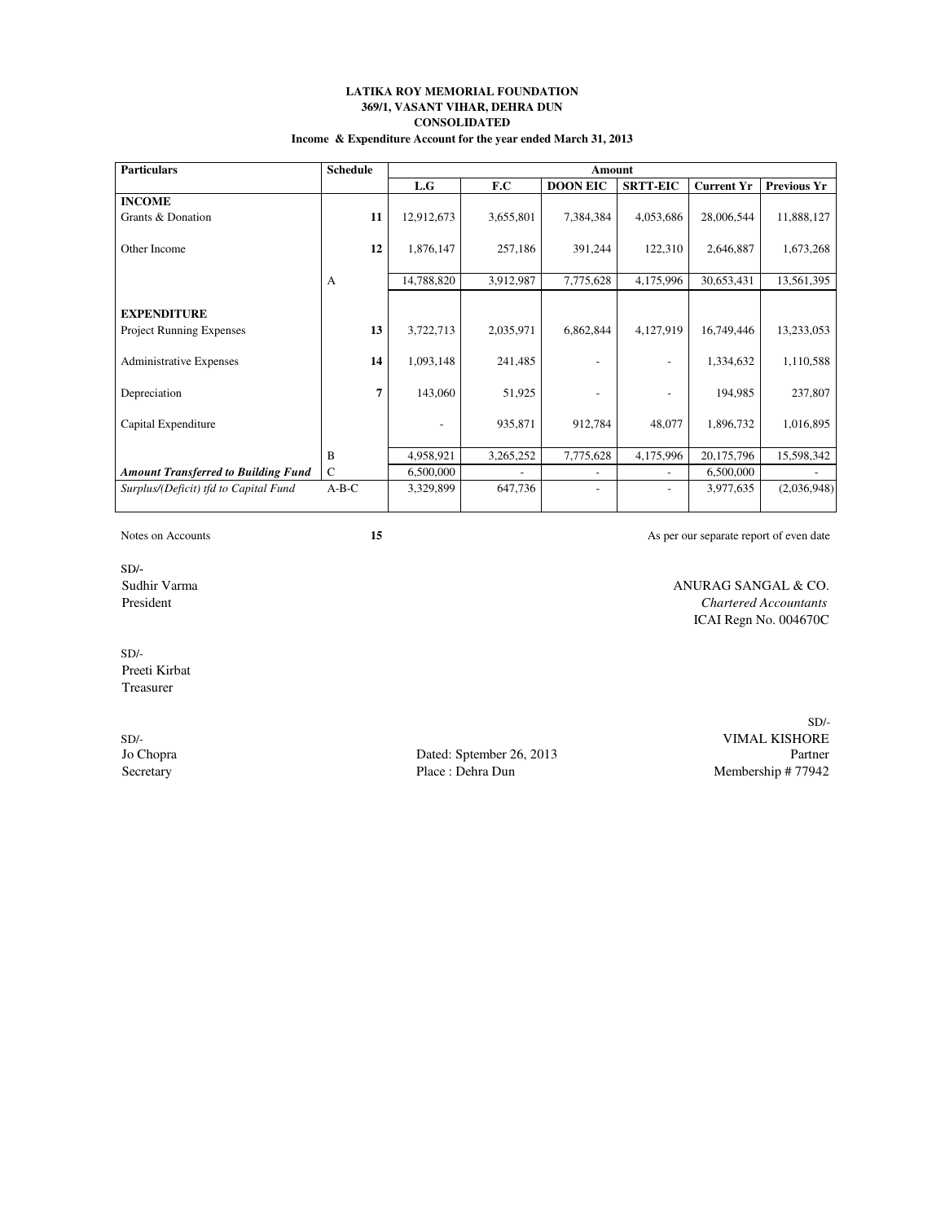### **LATIKA ROY MEMORIAL FOUNDATION 369/1, VASANT VIHAR, DEHRA DUN CONSOLIDATED Income & Expenditure Account for the year ended March 31, 2013**

| <b>Particulars</b>                         | <b>Schedule</b> |                   |           | Amount          |                          |                   |                    |
|--------------------------------------------|-----------------|-------------------|-----------|-----------------|--------------------------|-------------------|--------------------|
|                                            |                 | L.G               | F.C       | <b>DOON EIC</b> | <b>SRTT-EIC</b>          | <b>Current Yr</b> | <b>Previous Yr</b> |
| <b>INCOME</b>                              |                 |                   |           |                 |                          |                   |                    |
| Grants & Donation                          | 11              | 12,912,673        | 3,655,801 | 7,384,384       | 4,053,686                | 28,006,544        | 11,888,127         |
| Other Income                               | 12              | 1,876,147         | 257,186   | 391,244         | 122,310                  | 2,646,887         | 1,673,268          |
|                                            | A               | 14,788,820        | 3,912,987 | 7,775,628       | 4,175,996                | 30,653,431        | 13,561,395         |
|                                            |                 |                   |           |                 |                          |                   |                    |
| <b>EXPENDITURE</b>                         |                 |                   |           |                 |                          |                   |                    |
| <b>Project Running Expenses</b>            | 13              | 3,722,713         | 2,035,971 | 6,862,844       | 4,127,919                | 16,749,446        | 13,233,053         |
| <b>Administrative Expenses</b>             | 14              | 1,093,148         | 241,485   |                 | $\overline{\phantom{a}}$ | 1,334,632         | 1,110,588          |
| Depreciation                               | 7               | 143,060           | 51,925    |                 |                          | 194,985           | 237,807            |
| Capital Expenditure                        |                 | $\qquad \qquad -$ | 935,871   | 912,784         | 48,077                   | 1,896,732         | 1,016,895          |
|                                            | B               | 4,958,921         | 3,265,252 | 7,775,628       | 4,175,996                | 20,175,796        | 15,598,342         |
| <b>Amount Transferred to Building Fund</b> | $\mathcal{C}$   | 6,500,000         |           |                 |                          | 6,500,000         |                    |
| Surplus/(Deficit) tfd to Capital Fund      | $A-B-C$         | 3,329,899         | 647,736   |                 |                          | 3,977,635         | (2,036,948)        |
|                                            |                 |                   |           |                 |                          |                   |                    |

Notes on Accounts<br>
15 **15** As per our separate report of even date

SD/-<br>Sudhir Varma

ANURAG SANGAL & CO. President *Chartered Accountants* ICAI Regn No. 004670C

SD/- Preeti Kirbat Treasurer

Dated: Sptember 26, 2013<br>Place : Dehra Dun Secretary Place : Dehra Dun Place : Dehra Dun Membership # 77942

SD/- SD/-<br>
SD/-<br>
Spaced: Sptember 26, 2013<br>
Partner<br>
Partner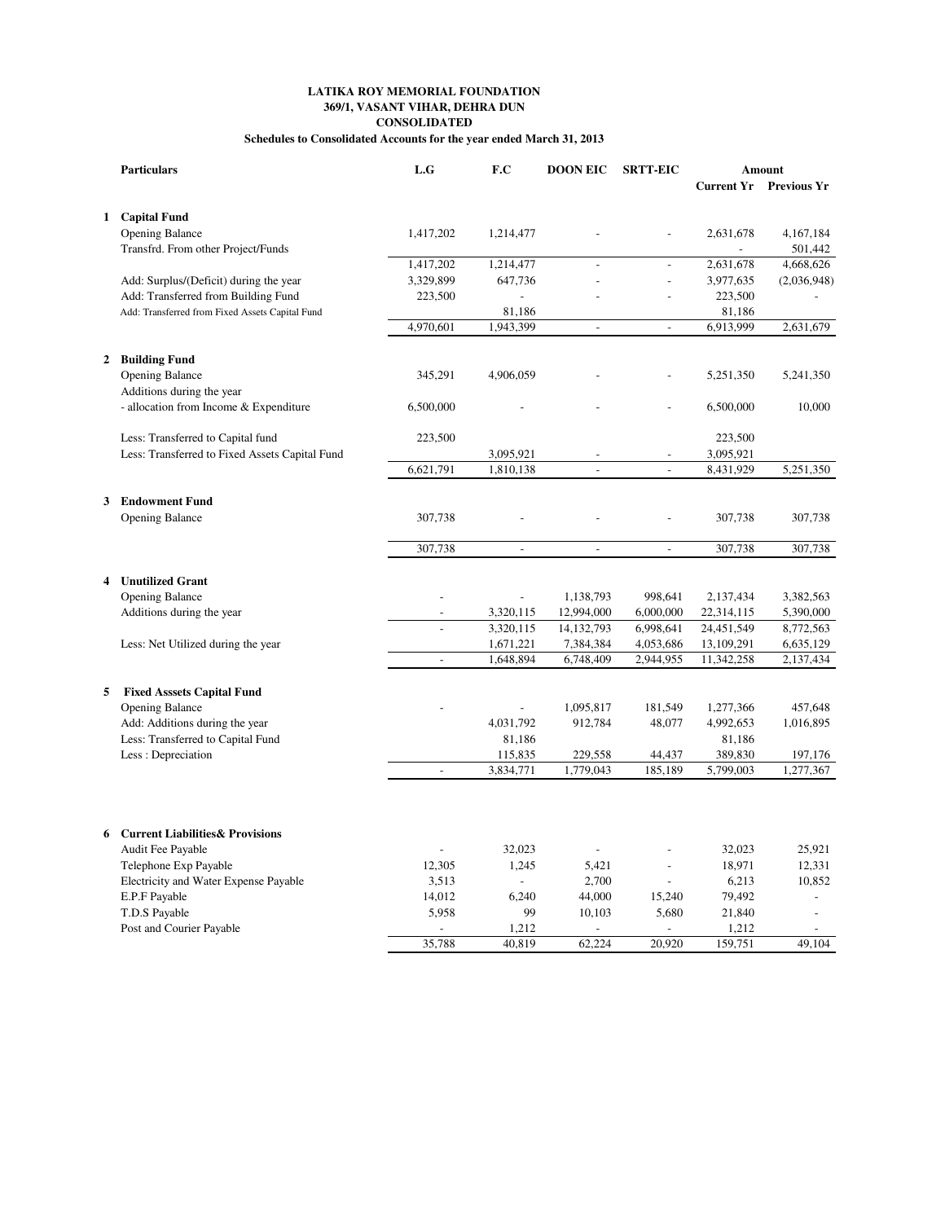## **LATIKA ROY MEMORIAL FOUNDATION 369/1, VASANT VIHAR, DEHRA DUN CONSOLIDATED**

**Schedules to Consolidated Accounts for the year ended March 31, 2013**

|              | <b>Particulars</b>                              | L.G            | F.C                         | <b>DOON EIC</b>          | <b>SRTT-EIC</b>          |                          | Amount                        |  |
|--------------|-------------------------------------------------|----------------|-----------------------------|--------------------------|--------------------------|--------------------------|-------------------------------|--|
|              |                                                 |                |                             |                          |                          |                          | <b>Current Yr</b> Previous Yr |  |
|              | 1 Capital Fund                                  |                |                             |                          |                          |                          |                               |  |
|              | <b>Opening Balance</b>                          | 1,417,202      | 1,214,477                   |                          | Ĭ.                       | 2,631,678                | 4,167,184                     |  |
|              | Transfrd. From other Project/Funds              |                |                             |                          |                          | $\overline{a}$           | 501,442                       |  |
|              |                                                 | 1,417,202      | 1,214,477                   |                          | $\overline{a}$           | 2,631,678                | 4,668,626                     |  |
|              | Add: Surplus/(Deficit) during the year          | 3,329,899      | 647,736                     |                          | $\overline{a}$           | 3,977,635                | (2,036,948)                   |  |
|              | Add: Transferred from Building Fund             | 223,500        | $\overline{\phantom{a}}$    |                          | $\overline{a}$           | 223,500                  |                               |  |
|              | Add: Transferred from Fixed Assets Capital Fund |                | 81,186                      |                          |                          | 81,186                   |                               |  |
|              |                                                 | 4,970,601      | 1,943,399                   | $\frac{1}{2}$            | $\overline{\phantom{a}}$ | 6,913,999                | 2,631,679                     |  |
|              |                                                 |                |                             |                          |                          |                          |                               |  |
| $\mathbf{2}$ | <b>Building Fund</b>                            |                |                             |                          |                          |                          |                               |  |
|              | <b>Opening Balance</b>                          | 345,291        | 4,906,059                   |                          |                          | 5,251,350                | 5,241,350                     |  |
|              | Additions during the year                       |                |                             |                          |                          |                          |                               |  |
|              | - allocation from Income & Expenditure          | 6,500,000      |                             |                          |                          | 6,500,000                | 10,000                        |  |
|              |                                                 |                |                             |                          |                          |                          |                               |  |
|              | Less: Transferred to Capital fund               | 223,500        |                             |                          |                          | 223,500                  |                               |  |
|              | Less: Transferred to Fixed Assets Capital Fund  |                | 3,095,921                   |                          |                          | 3,095,921                |                               |  |
|              |                                                 | 6,621,791      | 1,810,138                   | $\overline{\phantom{0}}$ | $\overline{a}$           | 8,431,929                | 5,251,350                     |  |
|              |                                                 |                |                             |                          |                          |                          |                               |  |
|              | 3 Endowment Fund                                |                |                             |                          |                          |                          |                               |  |
|              | <b>Opening Balance</b>                          | 307,738        |                             |                          |                          | 307,738                  | 307,738                       |  |
|              |                                                 |                |                             |                          |                          |                          |                               |  |
|              |                                                 | 307,738        | $\mathbf{r}$                | $\overline{a}$           | $\overline{a}$           | 307,738                  | 307,738                       |  |
|              |                                                 |                |                             |                          |                          |                          |                               |  |
| 4            | <b>Unutilized Grant</b>                         |                |                             |                          |                          |                          |                               |  |
|              | <b>Opening Balance</b>                          | $\overline{a}$ |                             | 1,138,793                | 998,641                  | 2,137,434                | 3,382,563                     |  |
|              | Additions during the year                       | $\overline{a}$ | 3,320,115                   | 12,994,000               | 6,000,000                | 22,314,115               | 5,390,000                     |  |
|              |                                                 |                | 3,320,115                   | 14, 132, 793             | 6,998,641                | 24,451,549               | 8,772,563                     |  |
|              | Less: Net Utilized during the year              | $\frac{1}{2}$  | 1,671,221<br>1,648,894      | 7,384,384<br>6,748,409   | 4,053,686<br>2,944,955   | 13,109,291<br>11,342,258 | 6,635,129<br>2,137,434        |  |
|              |                                                 |                |                             |                          |                          |                          |                               |  |
| 5            | <b>Fixed Asssets Capital Fund</b>               |                |                             |                          |                          |                          |                               |  |
|              | <b>Opening Balance</b>                          |                |                             | 1,095,817                | 181,549                  | 1,277,366                | 457,648                       |  |
|              | Add: Additions during the year                  |                | 4,031,792                   | 912,784                  | 48,077                   | 4,992,653                | 1,016,895                     |  |
|              | Less: Transferred to Capital Fund               |                | 81,186                      |                          |                          | 81,186                   |                               |  |
|              | Less: Depreciation                              |                | 115,835                     | 229,558                  | 44,437                   | 389,830                  | 197,176                       |  |
|              |                                                 | $\overline{a}$ | 3,834,771                   | 1,779,043                | 185,189                  | 5,799,003                | 1,277,367                     |  |
|              |                                                 |                |                             |                          |                          |                          |                               |  |
|              |                                                 |                |                             |                          |                          |                          |                               |  |
|              |                                                 |                |                             |                          |                          |                          |                               |  |
| 6            | <b>Current Liabilities &amp; Provisions</b>     |                |                             |                          |                          |                          |                               |  |
|              | Audit Fee Payable                               |                | 32,023                      |                          |                          | 32,023                   | 25,921                        |  |
|              | Telephone Exp Payable                           | 12,305         | 1,245                       | 5,421                    | $\overline{a}$           | 18,971                   | 12,331                        |  |
|              | Electricity and Water Expense Payable           | 3,513          | $\mathcal{L}_{\mathcal{A}}$ | 2,700                    | $\overline{a}$           | 6,213                    | 10,852                        |  |
|              | E.P.F Payable                                   | 14,012         | 6,240                       | 44,000                   | 15,240                   | 79,492                   | $\overline{a}$                |  |
|              | T.D.S Payable                                   | 5,958          | 99                          | 10,103                   | 5,680                    | 21,840                   | $\overline{a}$                |  |
|              | Post and Courier Payable                        |                | 1,212                       |                          |                          | 1,212                    |                               |  |
|              |                                                 | 35,788         | 40,819                      | 62,224                   | 20,920                   | 159,751                  | 49,104                        |  |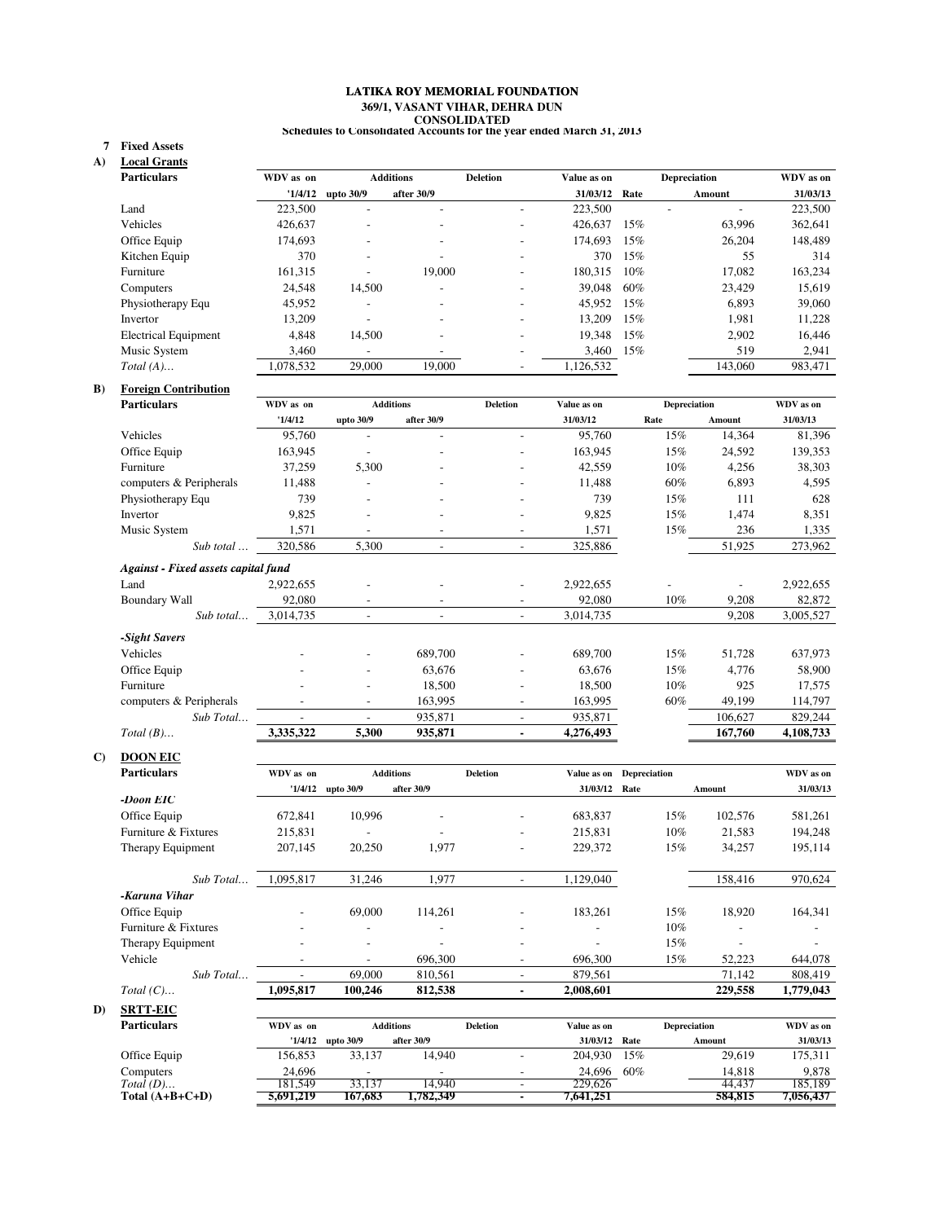# **369/1, VASANT VIHAR, DEHRA DUN CONSOLIDATED Schedules to Consolidated Accounts for the year ended March 31, 2013 LATIKA ROY MEMORIAL FOUNDATION**

### **Fixed Assets 7**

**A) Local Grants**

| <b>Particulars</b>          | WDV as on | <b>Additions</b>         |            | <b>Deletion</b>          | Value as on |        | <b>Depreciation</b> | WDV as on |
|-----------------------------|-----------|--------------------------|------------|--------------------------|-------------|--------|---------------------|-----------|
|                             | '1/4/12   | upto 30/9                | after 30/9 |                          | 31/03/12    | Rate   | Amount              | 31/03/13  |
| Land                        | 223,500   |                          |            | -                        | 223,500     |        |                     | 223,500   |
| Vehicles                    | 426.637   |                          |            | ٠                        | 426,637     | 15%    | 63.996              | 362,641   |
| Office Equip                | 174.693   |                          |            | $\overline{\phantom{0}}$ | 174,693     | 15%    | 26.204              | 148,489   |
| Kitchen Equip               | 370       |                          |            |                          | 370         | 15%    | 55                  | 314       |
| Furniture                   | 161,315   |                          | 19,000     | $\overline{\phantom{0}}$ | 180.315     | $10\%$ | 17.082              | 163,234   |
| Computers                   | 24.548    | 14,500                   |            |                          | 39,048      | 60%    | 23.429              | 15,619    |
| Physiotherapy Equ           | 45.952    |                          |            |                          | 45.952      | 15%    | 6.893               | 39,060    |
| Invertor                    | 13,209    |                          |            |                          | 13.209      | 15%    | 1,981               | 11,228    |
| <b>Electrical Equipment</b> | 4,848     | 14,500                   |            | $\overline{\phantom{0}}$ | 19.348      | 15%    | 2,902               | 16,446    |
| Music System                | 3,460     | $\overline{\phantom{a}}$ |            |                          | 3,460       | 15%    | 519                 | 2,941     |
| Total $(A)$                 | 1,078,532 | 29,000                   | 19,000     |                          | 1,126,532   |        | 143,060             | 983,471   |
|                             |           |                          |            |                          |             |        |                     |           |

## **B) Foreign Contribution**

| <b>Particulars</b>                  | WDV as on                | <b>Additions</b>             |            | <b>Deletion</b>          | Value as on | <b>Depreciation</b> |         | WDV as on |
|-------------------------------------|--------------------------|------------------------------|------------|--------------------------|-------------|---------------------|---------|-----------|
|                                     | '1/4/12                  | upto 30/9                    | after 30/9 |                          | 31/03/12    | Rate                | Amount  | 31/03/13  |
| Vehicles                            | 95,760                   | $\overline{a}$               |            |                          | 95,760      | 15%                 | 14,364  | 81,396    |
| Office Equip                        | 163,945                  |                              |            |                          | 163,945     | 15%                 | 24,592  | 139,353   |
| Furniture                           | 37,259                   | 5,300                        |            | $\overline{\phantom{a}}$ | 42,559      | $10\%$              | 4,256   | 38,303    |
| computers & Peripherals             | 11,488                   |                              |            | $\overline{\phantom{a}}$ | 11,488      | 60%                 | 6,893   | 4,595     |
| Physiotherapy Equ                   | 739                      | $\overline{\phantom{a}}$     | -          | $\overline{\phantom{a}}$ | 739         | 15%                 | 111     | 628       |
| Invertor                            | 9,825                    | $\overline{a}$               |            |                          | 9,825       | 15%                 | 1,474   | 8,351     |
| Music System                        | 1,571                    | ۰                            |            |                          | 1,571       | 15%                 | 236     | 1,335     |
| Sub total                           | 320,586                  | 5,300                        | ۰          | $\overline{\phantom{a}}$ | 325,886     |                     | 51,925  | 273,962   |
| Against - Fixed assets capital fund |                          |                              |            |                          |             |                     |         |           |
| Land                                | 2,922,655                |                              |            |                          | 2,922,655   |                     |         | 2,922,655 |
| <b>Boundary Wall</b>                | 92,080                   | ۰                            |            |                          | 92,080      | $10\%$              | 9,208   | 82,872    |
| Sub total                           | 3,014,735                | $\overline{\phantom{a}}$     |            | $\sim$                   | 3,014,735   |                     | 9,208   | 3,005,527 |
| -Sight Savers                       |                          |                              |            |                          |             |                     |         |           |
| Vehicles                            |                          | ۰                            | 689,700    |                          | 689,700     | 15%                 | 51,728  | 637,973   |
| Office Equip                        |                          | $\qquad \qquad \blacksquare$ | 63,676     |                          | 63,676      | 15%                 | 4,776   | 58,900    |
| Furniture                           |                          | ۰                            | 18,500     | $\overline{\phantom{a}}$ | 18,500      | $10\%$              | 925     | 17,575    |
| computers & Peripherals             |                          | $\overline{\phantom{0}}$     | 163,995    | $\overline{\phantom{a}}$ | 163,995     | 60%                 | 49,199  | 114,797   |
| Sub Total                           | $\overline{\phantom{a}}$ | $\overline{\phantom{a}}$     | 935,871    | $\overline{\phantom{a}}$ | 935,871     |                     | 106,627 | 829,244   |
| $Total (B) \dots$                   | 3,335,322                | 5,300                        | 935,871    |                          | 4,276,493   |                     | 167,760 | 4,108,733 |

## **C) DOON EIC**

| <b>Particulars</b>       | WDV as on |                          | <b>Additions</b>         | <b>Deletion</b>          | Value as on              | <b>Depreciation</b> |         | WDV as on |
|--------------------------|-----------|--------------------------|--------------------------|--------------------------|--------------------------|---------------------|---------|-----------|
|                          | 1/4/12    | upto 30/9                | after 30/9               |                          | 31/03/12                 | Rate                | Amount  | 31/03/13  |
| -Doon EIC                |           |                          |                          |                          |                          |                     |         |           |
| Office Equip             | 672,841   | 10,996                   | $\overline{\phantom{a}}$ | $\overline{\phantom{a}}$ | 683,837                  | 15%                 | 102,576 | 581,261   |
| Furniture & Fixtures     | 215,831   | $\overline{\phantom{a}}$ |                          | $\overline{\phantom{a}}$ | 215,831                  | 10%                 | 21,583  | 194,248   |
| Therapy Equipment        | 207,145   | 20,250                   | 1,977                    | $\overline{\phantom{0}}$ | 229,372                  | 15%                 | 34,257  | 195,114   |
|                          |           |                          |                          |                          |                          |                     |         |           |
| Sub Total                | 1,095,817 | 31,246                   | 1,977                    |                          | 1,129,040                |                     | 158,416 | 970,624   |
| -Karuna Vihar            |           |                          |                          |                          |                          |                     |         |           |
| Office Equip             |           | 69,000                   | 114.261                  | -                        | 183.261                  | 15%                 | 18,920  | 164,341   |
| Furniture & Fixtures     |           | ٠                        | $\overline{\phantom{a}}$ | $\overline{\phantom{0}}$ | $\overline{\phantom{a}}$ | $10\%$              |         |           |
| <b>Therapy Equipment</b> |           | $\overline{\phantom{a}}$ |                          | $\overline{\phantom{0}}$ |                          | 15%                 |         |           |
| Vehicle                  |           | $\overline{\phantom{a}}$ | 696,300                  | $\overline{\phantom{a}}$ | 696,300                  | 15%                 | 52,223  | 644,078   |
| Sub Total                |           | 69,000                   | 810,561                  | $\overline{a}$           | 879.561                  |                     | 71,142  | 808,419   |
| Total $(C)$              | 1,095,817 | 100,246                  | 812,538                  |                          | 2,008,601                |                     | 229,558 | 1,779,043 |

**D) SRTT-EIC**

| <b>Particulars</b> | WDV as on |           | Additions  | <b>Deletion</b> | Value as on   |     | <b>Depreciation</b> | WDV as on |
|--------------------|-----------|-----------|------------|-----------------|---------------|-----|---------------------|-----------|
|                    | '1/4/12   | upto 30/9 | after 30/9 |                 | 31/03/12 Rate |     | Amount              | 31/03/13  |
| Office Equip       | 156.853   | 33,137    | 14.940     |                 | 204,930 15%   |     | 29.619              | 175,311   |
| Computers          | 24.696    | -         | -          |                 | 24,696        | 60% | 14.818              | 9.878     |
| $Total(D) \dots$   | 181.549   | 33.137    | 14.940     |                 | 229,626       |     | 44.437              | 185.189   |
| Total $(A+B+C+D)$  | 5.691.219 | 167.683   | .782.349   |                 | 1.641.251     |     | 584.815             | 1.056.437 |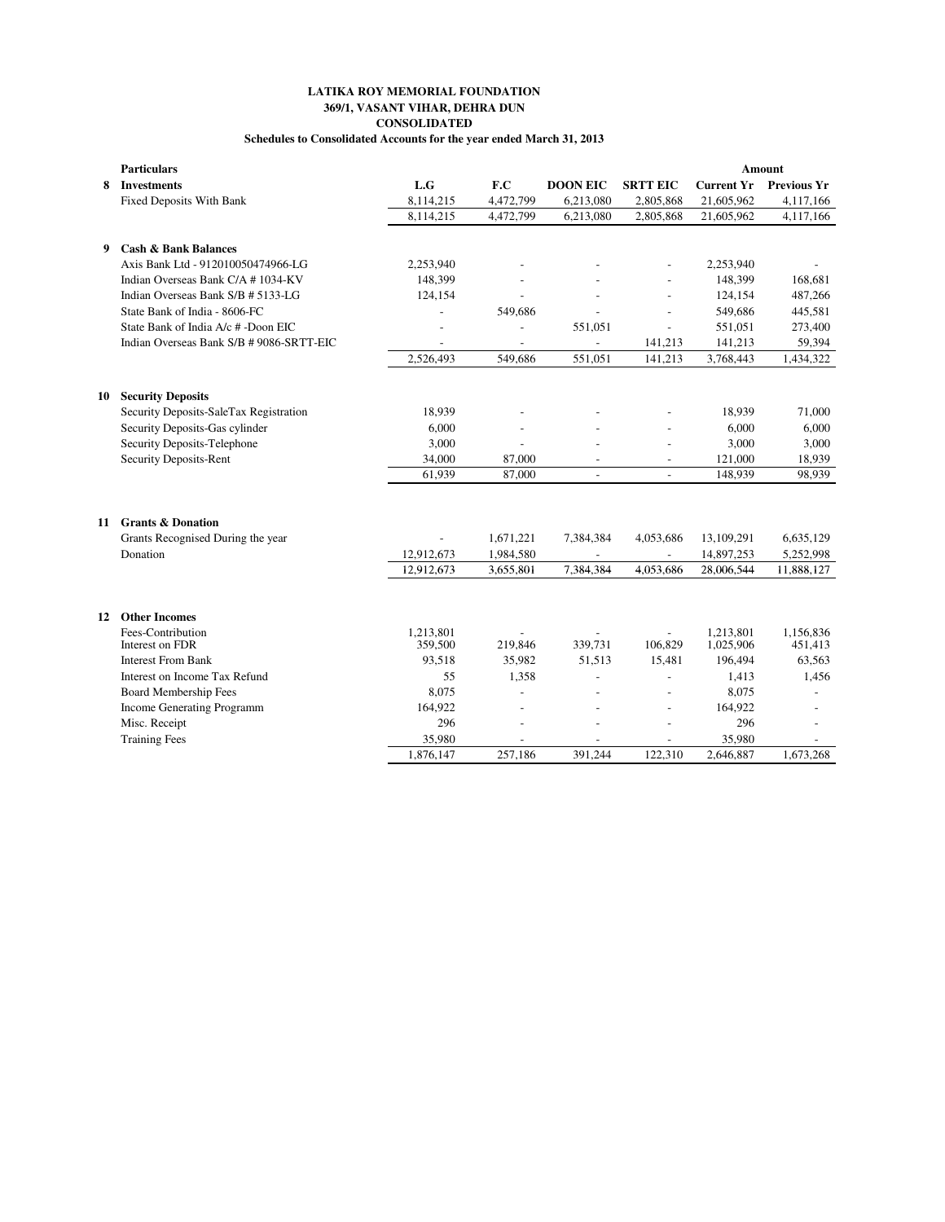## **369/1, VASANT VIHAR, DEHRA DUN CONSOLIDATED Schedules to Consolidated Accounts for the year ended March 31, 2013 LATIKA ROY MEMORIAL FOUNDATION**

|    | <b>Particulars</b>                       |                      |                          |                          |                 |                        | Amount               |
|----|------------------------------------------|----------------------|--------------------------|--------------------------|-----------------|------------------------|----------------------|
| 8  | <b>Investments</b>                       | L.G                  | F.C                      | <b>DOON EIC</b>          | <b>SRTT EIC</b> | <b>Current Yr</b>      | <b>Previous Yr</b>   |
|    | <b>Fixed Deposits With Bank</b>          | 8,114,215            | 4,472,799                | 6,213,080                | 2,805,868       | 21,605,962             | 4,117,166            |
|    |                                          | 8,114,215            | 4,472,799                | 6,213,080                | 2,805,868       | 21,605,962             | 4,117,166            |
|    |                                          |                      |                          |                          |                 |                        |                      |
| 9  | <b>Cash &amp; Bank Balances</b>          |                      |                          |                          |                 |                        |                      |
|    | Axis Bank Ltd - 912010050474966-LG       | 2,253,940            |                          |                          |                 | 2,253,940              |                      |
|    | Indian Overseas Bank C/A # 1034-KV       | 148,399              | $\overline{a}$           |                          | $\overline{a}$  | 148,399                | 168,681              |
|    | Indian Overseas Bank S/B # 5133-LG       | 124,154              | $\overline{a}$           |                          |                 | 124,154                | 487,266              |
|    | State Bank of India - 8606-FC            |                      | 549,686                  |                          |                 | 549,686                | 445,581              |
|    | State Bank of India A/c # -Doon EIC      |                      |                          | 551,051                  |                 | 551,051                | 273,400              |
|    | Indian Overseas Bank S/B # 9086-SRTT-EIC |                      |                          |                          | 141,213         | 141,213                | 59,394               |
|    |                                          | 2,526,493            | 549,686                  | 551,051                  | 141,213         | 3,768,443              | 1,434,322            |
| 10 | <b>Security Deposits</b>                 |                      |                          |                          |                 |                        |                      |
|    | Security Deposits-SaleTax Registration   | 18,939               |                          |                          |                 | 18,939                 | 71,000               |
|    | Security Deposits-Gas cylinder           | 6,000                | $\overline{a}$           |                          |                 | 6,000                  | 6,000                |
|    | Security Deposits-Telephone              | 3,000                | $\overline{a}$           |                          |                 | 3,000                  | 3,000                |
|    | <b>Security Deposits-Rent</b>            | 34,000               | 87,000                   | $\overline{\phantom{a}}$ | $\overline{a}$  | 121,000                | 18,939               |
|    |                                          | 61,939               | 87,000                   | $\overline{a}$           | $\blacksquare$  | 148.939                | 98,939               |
|    |                                          |                      |                          |                          |                 |                        |                      |
|    |                                          |                      |                          |                          |                 |                        |                      |
| 11 | <b>Grants &amp; Donation</b>             |                      |                          |                          |                 |                        |                      |
|    | Grants Recognised During the year        |                      | 1,671,221                | 7,384,384                | 4,053,686       | 13,109,291             | 6,635,129            |
|    | Donation                                 | 12,912,673           | 1,984,580                | $\overline{\phantom{a}}$ |                 | 14,897,253             | 5,252,998            |
|    |                                          | 12,912,673           | 3,655,801                | 7,384,384                | 4,053,686       | 28,006,544             | 11,888,127           |
|    |                                          |                      |                          |                          |                 |                        |                      |
| 12 | <b>Other Incomes</b>                     |                      |                          |                          |                 |                        |                      |
|    | Fees-Contribution<br>Interest on FDR     | 1.213.801<br>359,500 | 219,846                  | 339,731                  | 106,829         | 1.213.801<br>1,025,906 | 1.156.836<br>451,413 |
|    | <b>Interest From Bank</b>                | 93.518               | 35,982                   | 51.513                   | 15,481          | 196,494                | 63,563               |
|    | Interest on Income Tax Refund            | 55                   | 1,358                    |                          |                 | 1,413                  | 1,456                |
|    | <b>Board Membership Fees</b>             | 8,075                | $\overline{a}$           |                          | $\overline{a}$  | 8,075                  |                      |
|    | <b>Income Generating Programm</b>        | 164,922              | $\overline{\phantom{a}}$ |                          | $\overline{a}$  | 164,922                |                      |
|    | Misc. Receipt                            | 296                  | $\overline{a}$           | $\overline{a}$           |                 | 296                    | $\overline{a}$       |
|    | <b>Training Fees</b>                     | 35,980               |                          |                          |                 | 35,980                 |                      |
|    |                                          | 1.876.147            | 257,186                  | 391.244                  | 122.310         | 2,646,887              | 1.673.268            |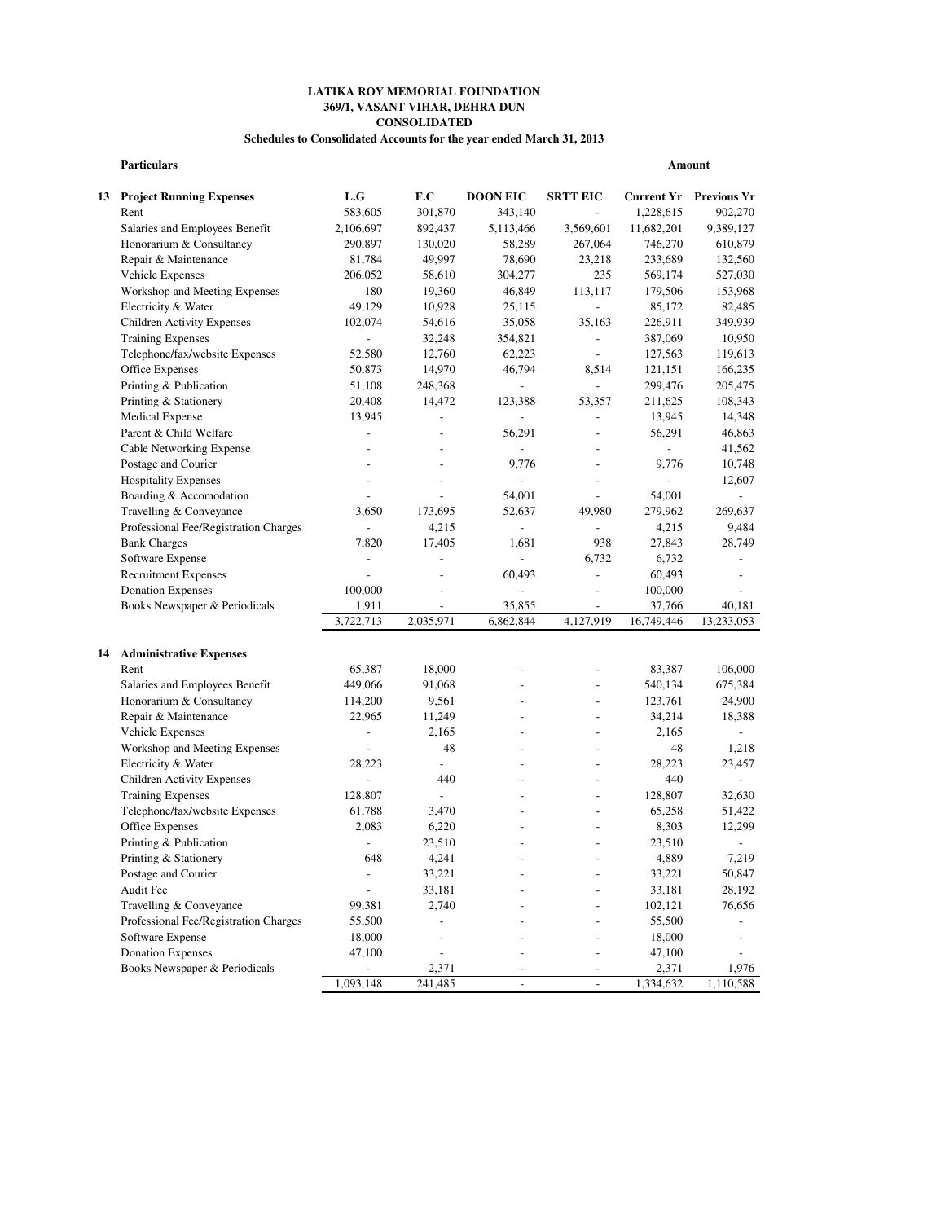## **LATIKA ROY MEMORIAL FOUNDATION 369/1, VASANT VIHAR, DEHRA DUN CONSOLIDATED**

### **Schedules to Consolidated Accounts for the year ended March 31, 2013**

|    | <b>Particulars</b>                    |                          |                          |                          |                          |                | Amount                        |
|----|---------------------------------------|--------------------------|--------------------------|--------------------------|--------------------------|----------------|-------------------------------|
|    | <b>13 Project Running Expenses</b>    | L.G                      | F.C                      | <b>DOON EIC</b>          | <b>SRTT EIC</b>          |                | <b>Current Yr Previous Yr</b> |
|    | Rent                                  | 583,605                  | 301,870                  | 343,140                  | $\overline{a}$           | 1,228,615      | 902,270                       |
|    | Salaries and Employees Benefit        | 2,106,697                | 892,437                  | 5,113,466                | 3,569,601                | 11,682,201     | 9,389,127                     |
|    | Honorarium & Consultancy              | 290,897                  | 130,020                  | 58,289                   | 267,064                  | 746,270        | 610,879                       |
|    | Repair & Maintenance                  | 81,784                   | 49,997                   | 78,690                   | 23,218                   | 233,689        | 132,560                       |
|    | Vehicle Expenses                      | 206,052                  | 58,610                   | 304,277                  | 235                      | 569,174        | 527,030                       |
|    | Workshop and Meeting Expenses         | 180                      | 19,360                   | 46,849                   | 113,117                  | 179,506        | 153,968                       |
|    | Electricity & Water                   | 49,129                   | 10,928                   | 25,115                   | $\overline{a}$           | 85,172         | 82,485                        |
|    | <b>Children Activity Expenses</b>     | 102,074                  | 54,616                   | 35,058                   | 35,163                   | 226,911        | 349,939                       |
|    | <b>Training Expenses</b>              |                          | 32,248                   | 354,821                  | $\frac{1}{2}$            | 387,069        | 10,950                        |
|    | Telephone/fax/website Expenses        | 52.580                   | 12,760                   | 62,223                   | $\overline{\phantom{a}}$ | 127,563        | 119,613                       |
|    | Office Expenses                       | 50,873                   | 14,970                   | 46,794                   | 8,514                    | 121,151        | 166,235                       |
|    | Printing & Publication                | 51,108                   | 248,368                  | $\overline{a}$           | $\frac{1}{2}$            | 299,476        | 205,475                       |
|    | Printing & Stationery                 | 20,408                   | 14,472                   | 123,388                  | 53,357                   | 211,625        | 108,343                       |
|    | <b>Medical Expense</b>                | 13,945                   | $\overline{a}$           | $\frac{1}{2}$            | $\overline{a}$           | 13,945         | 14,348                        |
|    | Parent & Child Welfare                | $\overline{\phantom{a}}$ | $\overline{\phantom{a}}$ | 56,291                   | $\frac{1}{2}$            | 56,291         | 46,863                        |
|    | Cable Networking Expense              | $\overline{a}$           | $\overline{a}$           |                          | $\overline{a}$           | $\overline{a}$ | 41,562                        |
|    | Postage and Courier                   | $\overline{a}$           | $\overline{a}$           | 9,776                    | $\overline{a}$           | 9,776          | 10,748                        |
|    | <b>Hospitality Expenses</b>           | $\overline{\phantom{a}}$ | $\overline{\phantom{a}}$ | $\overline{\phantom{0}}$ | $\overline{\phantom{0}}$ | $\frac{1}{2}$  | 12,607                        |
|    | Boarding & Accomodation               | $\overline{\phantom{a}}$ | $\overline{a}$           | 54,001                   | $\overline{a}$           | 54,001         | ÷,                            |
|    | Travelling & Conveyance               | 3,650                    | 173,695                  | 52,637                   | 49,980                   | 279,962        | 269,637                       |
|    | Professional Fee/Registration Charges | $\overline{a}$           | 4,215                    | $\overline{a}$           | $\overline{a}$           | 4,215          | 9,484                         |
|    | <b>Bank Charges</b>                   | 7,820                    | 17,405                   | 1,681                    | 938                      | 27,843         | 28,749                        |
|    | Software Expense                      | ÷,                       | $\overline{a}$           | $\overline{a}$           | 6,732                    | 6,732          | $\overline{a}$                |
|    | <b>Recruitment Expenses</b>           | $\overline{a}$           | $\overline{\phantom{a}}$ | 60,493                   | $\overline{a}$           | 60,493         | $\overline{a}$                |
|    | <b>Donation Expenses</b>              | 100,000                  | $\overline{a}$           | $\overline{a}$           | $\overline{a}$           | 100,000        | $\overline{\phantom{a}}$      |
|    | Books Newspaper & Periodicals         | 1,911                    | $\overline{\phantom{a}}$ | 35,855                   | $\overline{a}$           | 37,766         | 40,181                        |
|    |                                       | 3,722,713                | 2,035,971                | 6,862,844                | 4,127,919                | 16,749,446     | 13,233,053                    |
|    |                                       |                          |                          |                          |                          |                |                               |
| 14 | <b>Administrative Expenses</b>        |                          |                          |                          |                          |                |                               |
|    | Rent                                  | 65,387                   | 18,000                   |                          | $\overline{a}$           | 83,387         | 106,000                       |
|    | Salaries and Employees Benefit        | 449,066                  | 91,068                   | $\overline{a}$           | $\overline{a}$           | 540,134        | 675,384                       |
|    | Honorarium & Consultancy              | 114,200                  | 9,561                    | $\overline{a}$           | $\overline{a}$           | 123,761        | 24,900                        |
|    | Repair & Maintenance                  | 22,965                   | 11,249                   |                          | $\overline{a}$           | 34,214         | 18,388                        |
|    | Vehicle Expenses                      | $\overline{\phantom{a}}$ | 2,165                    |                          | $\overline{a}$           | 2,165          | $\overline{a}$                |
|    | Workshop and Meeting Expenses         | $\overline{\phantom{a}}$ | 48                       | $\overline{a}$           | $\overline{a}$           | 48             | 1,218                         |
|    | Electricity & Water                   | 28.223                   | $\overline{a}$           | $\overline{a}$           | $\overline{a}$           | 28,223         | 23,457                        |
|    | <b>Children Activity Expenses</b>     | $\overline{\phantom{a}}$ | 440                      | $\overline{a}$           | $\overline{a}$           | 440            | $\overline{a}$                |
|    | <b>Training Expenses</b>              | 128,807                  | $\overline{a}$           | $\overline{a}$           | $\overline{a}$           | 128,807        | 32,630                        |
|    | Telephone/fax/website Expenses        | 61,788                   | 3,470                    | $\overline{a}$           | $\overline{a}$           | 65,258         | 51,422                        |
|    | Office Expenses                       | 2,083                    | 6,220                    |                          | $\overline{a}$           | 8,303          | 12,299                        |
|    | Printing & Publication                | $\overline{\phantom{a}}$ | 23,510                   | $\overline{a}$           | $\overline{a}$           | 23,510         | $\overline{\phantom{a}}$      |
|    | Printing & Stationery                 | 648                      | 4,241                    |                          | -                        | 4,889          | 7,219                         |
|    | Postage and Courier                   | $\overline{\phantom{a}}$ | 33,221                   |                          |                          | 33,221         | 50,847                        |
|    | Audit Fee                             | $\overline{a}$           | 33,181                   |                          |                          | 33,181         | 28,192                        |
|    | Travelling & Conveyance               | 99,381                   | 2,740                    |                          | $\overline{a}$           | 102,121        | 76,656                        |
|    | Professional Fee/Registration Charges | 55,500                   |                          |                          | $\overline{a}$           | 55,500         |                               |
|    | Software Expense                      | 18,000                   | $\overline{a}$           |                          | $\overline{a}$           | 18,000         | $\overline{\phantom{0}}$      |
|    | <b>Donation Expenses</b>              | 47,100                   | $\overline{\phantom{a}}$ |                          | $\overline{a}$           | 47,100         | $\overline{a}$                |
|    | Books Newspaper & Periodicals         | $\overline{\phantom{a}}$ | 2,371                    |                          | $\overline{a}$           | 2,371          | 1,976                         |
|    |                                       | 1,093,148                | 241,485                  | $\overline{\phantom{a}}$ | $\overline{\phantom{a}}$ | 1,334,632      | 1,110,588                     |